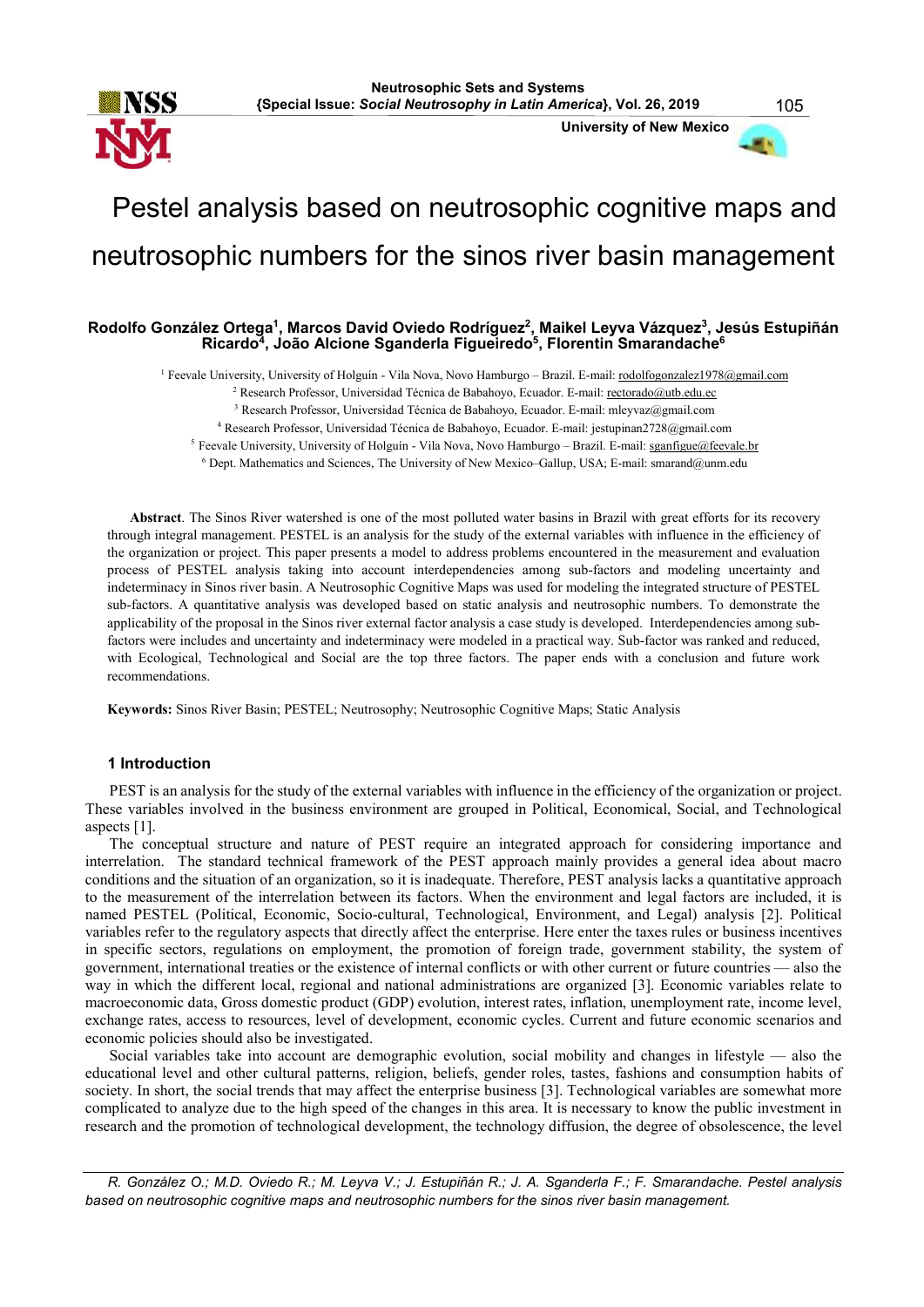

University of New Mexico



# Pestel analysis based on neutrosophic cognitive maps and neutrosophic numbers for the sinos river basin management

# Rodolfo González Ortega<sup>1</sup>, Marcos David Oviedo Rodríguez<sup>2</sup>, Maikel Leyva Vázquez<sup>3</sup>, Jesús Estupiñán Ricardo<sup>4</sup>, João Alcione Sganderla Figueiredo<sup>5</sup>, Florentin Smarandache<sup>6</sup>

<sup>1</sup> Feevale University, University of Holguín - Vila Nova, Novo Hamburgo – Brazil. E-mail: rodolfogonzalez1978@gmail.com

<sup>2</sup> Research Professor, Universidad Técnica de Babahoyo, Ecuador. E-mail: rectorado@utb.edu.ec

<sup>3</sup> Research Professor, Universidad Técnica de Babahoyo, Ecuador, E-mail: mleyvaz@gmail.com

<sup>4</sup> Research Professor, Universidad Técnica de Babahoyo, Ecuador. E-mail: jestupinan2728@gmail.com

<sup>5</sup> Feevale University, University of Holguín - Vila Nova, Novo Hamburgo - Brazil. E-mail: sganfigue@feevale.br

<sup>6</sup> Dept. Mathematics and Sciences, The University of New Mexico–Gallup, USA; E-mail: smarand@unm.edu

Abstract. The Sinos River watershed is one of the most polluted water basins in Brazil with great efforts for its recovery through integral management. PESTEL is an analysis for the study of the external variables with influence in the efficiency of the organization or project. This paper presents a model to address problems encountered in the measurement and evaluation process of PESTEL analysis taking into account interdependencies among sub-factors and modeling uncertainty and indeterminacy in Sinos river basin. A Neutrosophic Cognitive Maps was used for modeling the integrated structure of PESTEL sub-factors. A quantitative analysis was developed based on static analysis and neutrosophic numbers. To demonstrate the applicability of the proposal in the Sinos river external factor analysis a case study is developed. Interdependencies among subfactors were includes and uncertainty and indeterminacy were modeled in a practical way. Sub-factor was ranked and reduced, with Ecological, Technological and Social are the top three factors. The paper ends with a conclusion and future work recommendations.

Keywords: Sinos River Basin; PESTEL; Neutrosophy; Neutrosophic Cognitive Maps; Static Analysis

#### 1 Introduction

PEST is an analysis for the study of the external variables with influence in the efficiency of the organization or project. These variables involved in the business environment are grouped in Political, Economical, Social, and Technological aspects [1].

The conceptual structure and nature of PEST require an integrated approach for considering importance and interrelation. The standard technical framework of the PEST approach mainly provides a general idea about macro conditions and the situation of an organization, so it is inadequate. Therefore, PEST analysis lacks a quantitative approach to the measurement of the interrelation between its factors. When the environment and legal factors are included, it is named PESTEL (Political, Economic, Socio-cultural, Technological, Environment, and Legal) analysis [2]. Political variables refer to the regulatory aspects that directly affect the enterprise. Here enter the taxes rules or business incentives in specific sectors, regulations on employment, the promotion of foreign trade, government stability, the system of government, international treaties or the existence of internal conflicts or with other current or future countries — also the way in which the different local, regional and national administrations are organized [3]. Economic variables relate to macroeconomic data, Gross domestic product (GDP) evolution, interest rates, inflation, unemployment rate, income level, exchange rates, access to resources, level of development, economic cycles. Current and future economic scenarios and economic policies should also be investigated.

Social variables take into account are demographic evolution, social mobility and changes in lifestyle — also the educational level and other cultural patterns, religion, beliefs, gender roles, tastes, fashions and consumption habits of society. In short, the social trends that may affect the enterprise business [3]. Technological variables are somewhat more complicated to analyze due to the high speed of the changes in this area. It is necessary to know the public investment in research and the promotion of technological development, the technology diffusion, the degree of obsolescence, the level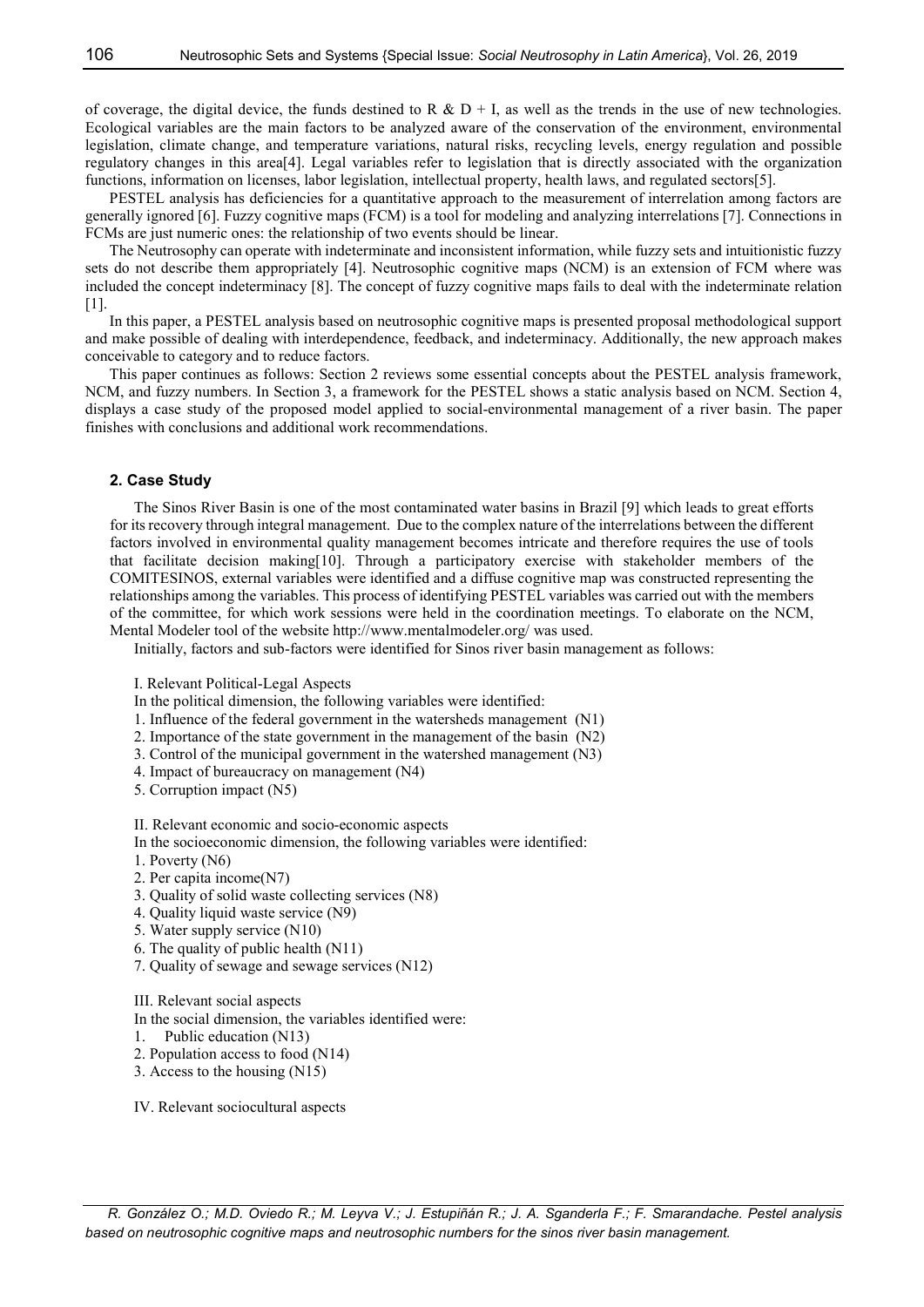of coverage, the digital device, the funds destined to R & D + I, as well as the trends in the use of new technologies. Ecological variables are the main factors to be analyzed aware of the conservation of the environment, environmental legislation, climate change, and temperature variations, natural risks, recycling levels, energy regulation and possible regulatory changes in this area[4]. Legal variables refer to legislation that is directly associated with the organization functions, information on licenses, labor legislation, intellectual property, health laws, and regulated sectors[5].

PESTEL analysis has deficiencies for a quantitative approach to the measurement of interrelation among factors are generally ignored [6]. Fuzzy cognitive maps (FCM) is a tool for modeling and analyzing interrelations [7]. Connections in FCMs are just numeric ones: the relationship of two events should be linear.

The Neutrosophy can operate with indeterminate and inconsistent information, while fuzzy sets and intuitionistic fuzzy sets do not describe them appropriately [4]. Neutrosophic cognitive maps (NCM) is an extension of FCM where was included the concept indeterminacy [8]. The concept of fuzzy cognitive maps fails to deal with the indeterminate relation  $[1]$ .

In this paper, a PESTEL analysis based on neutrosophic cognitive maps is presented proposal methodological support and make possible of dealing with interdependence, feedback, and indeterminacy. Additionally, the new approach makes conceivable to category and to reduce factors.

This paper continues as follows: Section 2 reviews some essential concepts about the PESTEL analysis framework, NCM, and fuzzy numbers. In Section 3, a framework for the PESTEL shows a static analysis based on NCM. Section 4, displays a case study of the proposed model applied to social-environmental management of a river basin. The paper finishes with conclusions and additional work recommendations.

## 2. Case Study

The Sinos River Basin is one of the most contaminated water basins in Brazil [9] which leads to great efforts for its recovery through integral management. Due to the complex nature of the interrelations between the different factors involved in environmental quality management becomes intricate and therefore requires the use of tools that facilitate decision making[10]. Through a participatory exercise with stakeholder members of the COMITESINOS, external variables were identified and a diffuse cognitive map was constructed representing the relationships among the variables. This process of identifying PESTEL variables was carried out with the members of the committee, for which work sessions were held in the coordination meetings. To elaborate on the NCM, Mental Modeler tool of the website http://www.mentalmodeler.org/ was used.

Initially, factors and sub-factors were identified for Sinos river basin management as follows:

I. Relevant Political-Legal Aspects

- In the political dimension, the following variables were identified:
- 1. Influence of the federal government in the watersheds management (N1)
- 2. Importance of the state government in the management of the basin (N2)
- 3. Control of the municipal government in the watershed management (N3)
- 4. Impact of bureaucracy on management (N4)
- 5. Corruption impact (N5)

II. Relevant economic and socio-economic aspects

- In the socioeconomic dimension, the following variables were identified:
- 1. Poverty (N6)
- 2. Per capita income(N7)
- 3. Quality of solid waste collecting services (N8)
- 4. Quality liquid waste service (N9)
- 5. Water supply service (N10)
- 6. The quality of public health (N11)
- 7. Quality of sewage and sewage services (N12)
- III. Relevant social aspects

In the social dimension, the variables identified were:

- 1. Public education (N13)
- 2. Population access to food (N14)
- 3. Access to the housing (N15)

IV. Relevant sociocultural aspects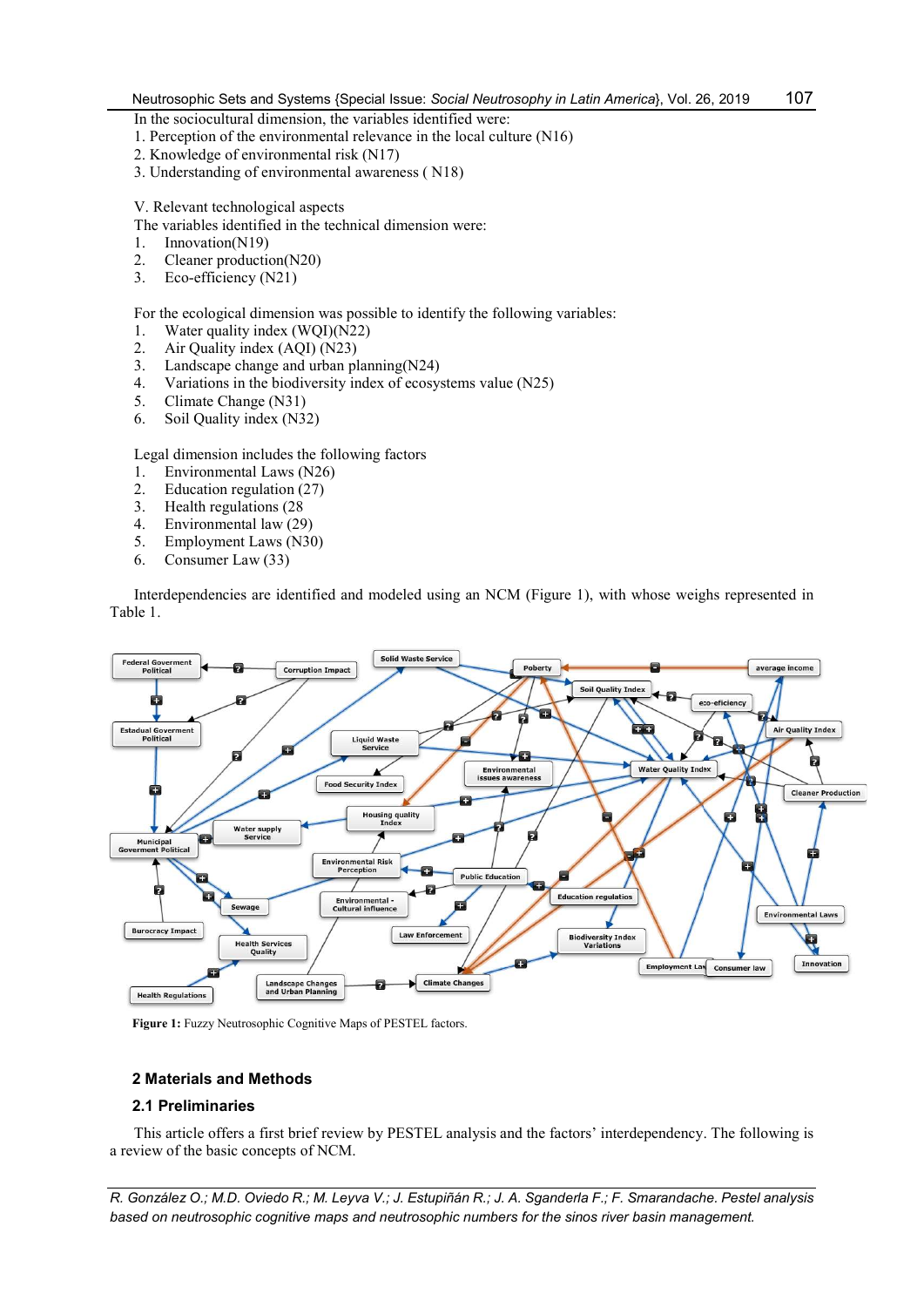In the sociocultural dimension, the variables identified were:

- 1. Perception of the environmental relevance in the local culture (N16)
- 2. Knowledge of environmental risk (N17)
- 3. Understanding of environmental awareness ( N18)

V. Relevant technological aspects

The variables identified in the technical dimension were:

- 1. Innovation(N19)
- 2. Cleaner production(N20)
- 3. Eco-efficiency (N21)

For the ecological dimension was possible to identify the following variables:

- 1. Water quality index (WQI)(N22)
- 2. Air Quality index (AQI) (N23)
- 3. Landscape change and urban planning(N24)
- 4. Variations in the biodiversity index of ecosystems value (N25)
- 5. Climate Change (N31)
- 6. Soil Quality index (N32)

Legal dimension includes the following factors<br>1. Environmental Laws (N26)

- Environmental Laws (N26)
- 2. Education regulation (27)
- 3. Health regulations  $(28$ <br>4 Environmental law  $(29)$
- 4. Environmental law (29)<br>5. Employment Laws (N30)
- 5. Employment Laws (N30)
- 6. Consumer Law (33)

Interdependencies are identified and modeled using an NCM (Figure 1), with whose weighs represented in Table 1.



Figure 1: Fuzzy Neutrosophic Cognitive Maps of PESTEL factors.

# 2 Materials and Methods

#### 2.1 Preliminaries

This article offers a first brief review by PESTEL analysis and the factors' interdependency. The following is a review of the basic concepts of NCM.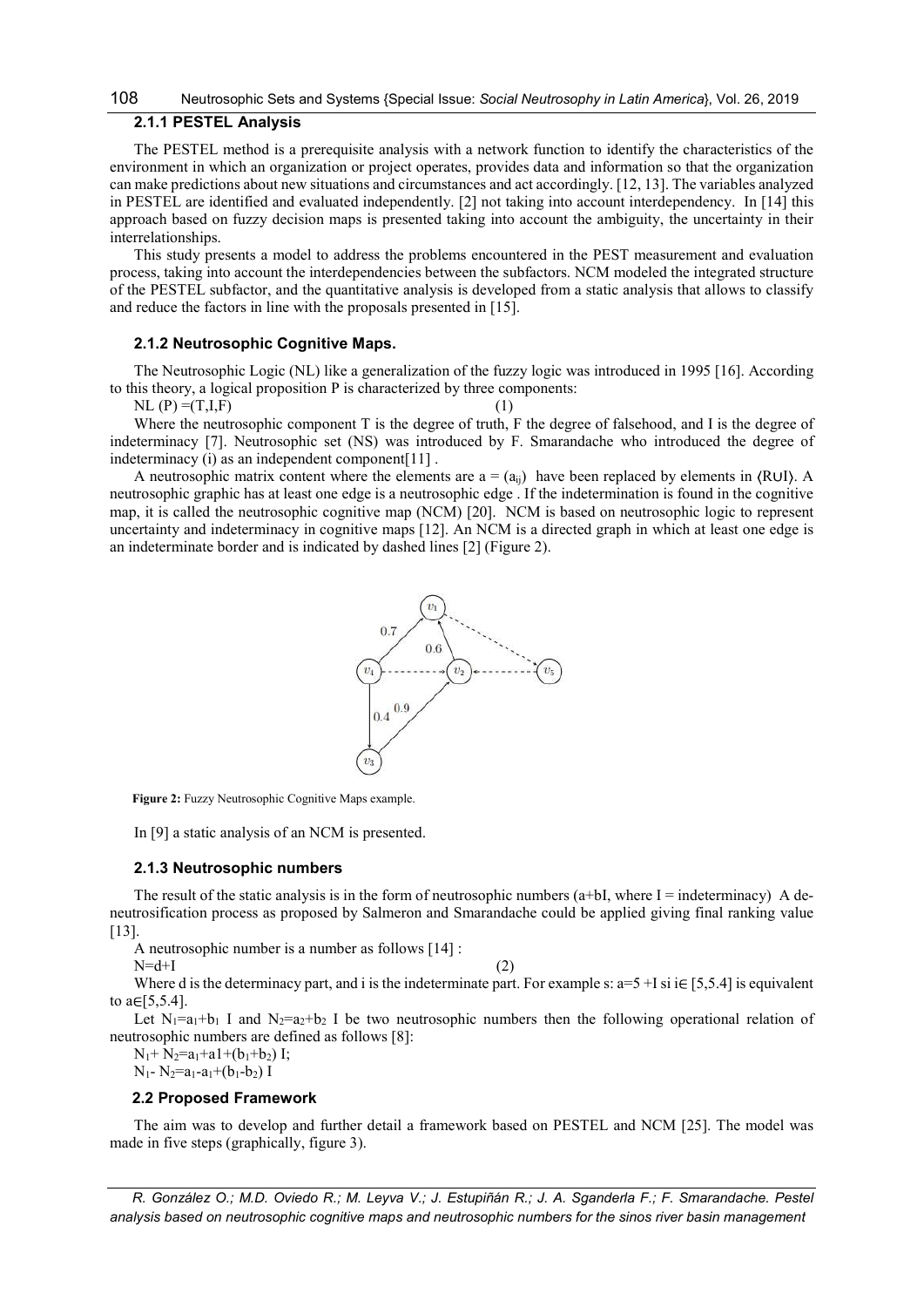# 108 Neutrosophic Sets and Systems {Special Issue: Social Neutrosophy in Latin America}, Vol. 26, 2019

# 2.1.1 PESTEL Analysis

The PESTEL method is a prerequisite analysis with a network function to identify the characteristics of the environment in which an organization or project operates, provides data and information so that the organization can make predictions about new situations and circumstances and act accordingly. [12, 13]. The variables analyzed in PESTEL are identified and evaluated independently. [2] not taking into account interdependency. In [14] this approach based on fuzzy decision maps is presented taking into account the ambiguity, the uncertainty in their interrelationships.

This study presents a model to address the problems encountered in the PEST measurement and evaluation process, taking into account the interdependencies between the subfactors. NCM modeled the integrated structure of the PESTEL subfactor, and the quantitative analysis is developed from a static analysis that allows to classify and reduce the factors in line with the proposals presented in [15].

#### 2.1.2 Neutrosophic Cognitive Maps.

The Neutrosophic Logic (NL) like a generalization of the fuzzy logic was introduced in 1995 [16]. According to this theory, a logical proposition P is characterized by three components:

 $NL (P) = (T,I,F)$  (1)

Where the neutrosophic component T is the degree of truth, F the degree of falsehood, and I is the degree of indeterminacy [7]. Neutrosophic set (NS) was introduced by F. Smarandache who introduced the degree of indeterminacy (i) as an independent component[11] .

A neutrosophic matrix content where the elements are  $a = (a_{ij})$  have been replaced by elements in (RUI). A neutrosophic graphic has at least one edge is a neutrosophic edge . If the indetermination is found in the cognitive map, it is called the neutrosophic cognitive map (NCM) [20]. NCM is based on neutrosophic logic to represent uncertainty and indeterminacy in cognitive maps [12]. An NCM is a directed graph in which at least one edge is an indeterminate border and is indicated by dashed lines [2] (Figure 2).



Figure 2: Fuzzy Neutrosophic Cognitive Maps example.

In [9] a static analysis of an NCM is presented.

#### 2.1.3 Neutrosophic numbers

The result of the static analysis is in the form of neutrosophic numbers (a+bI, where  $I =$  indeterminacy) A deneutrosification process as proposed by Salmeron and Smarandache could be applied giving final ranking value [13].

A neutrosophic number is a number as follows [14] :

 $N=d+I$  (2)

Where d is the determinacy part, and i is the indeterminate part. For example s:  $a=5+1$  si  $i \in [5,5.4]$  is equivalent to a $\in [5,5.4]$ .

Let  $N_1=a_1+b_1$  I and  $N_2=a_2+b_2$  I be two neutrosophic numbers then the following operational relation of neutrosophic numbers are defined as follows [8]:

 $N_1$ +  $N_2$ =a<sub>1</sub>+a1+(b<sub>1</sub>+b<sub>2</sub>) I;  $N_1$ -  $N_2$ =a<sub>1</sub>-a<sub>1</sub>+(b<sub>1</sub>-b<sub>2</sub>) I

#### 2.2 Proposed Framework

The aim was to develop and further detail a framework based on PESTEL and NCM [25]. The model was made in five steps (graphically, figure 3).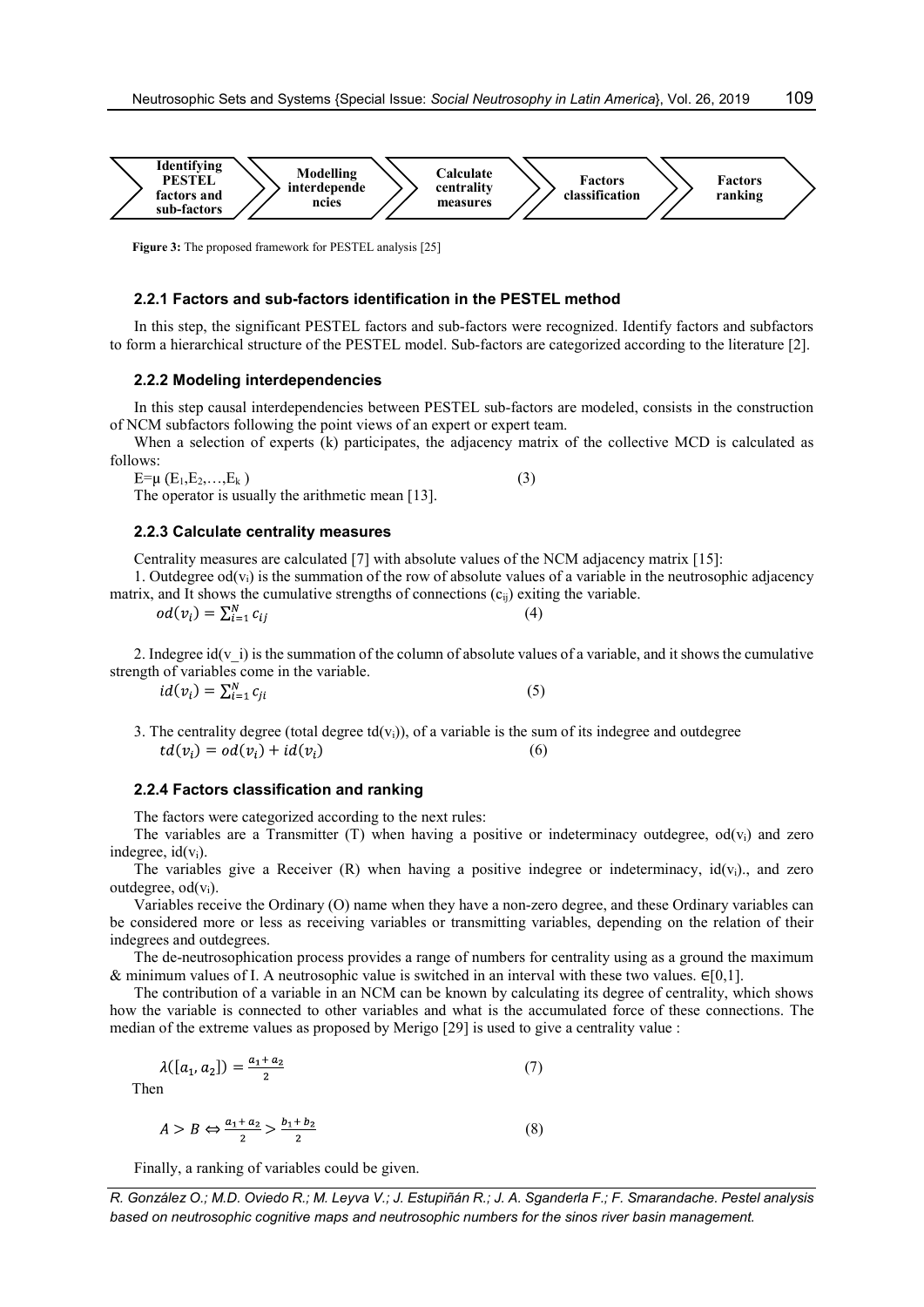

Figure 3: The proposed framework for PESTEL analysis [25]

#### 2.2.1 Factors and sub-factors identification in the PESTEL method

In this step, the significant PESTEL factors and sub-factors were recognized. Identify factors and subfactors to form a hierarchical structure of the PESTEL model. Sub-factors are categorized according to the literature [2].

#### 2.2.2 Modeling interdependencies

In this step causal interdependencies between PESTEL sub-factors are modeled, consists in the construction of NCM subfactors following the point views of an expert or expert team.

When a selection of experts (k) participates, the adjacency matrix of the collective MCD is calculated as follows:

 $E=\mu(E_1,E_2,...,E_k)$  (3)

The operator is usually the arithmetic mean [13].

#### 2.2.3 Calculate centrality measures

Centrality measures are calculated [7] with absolute values of the NCM adjacency matrix [15]:

1. Outdegree  $od(v_i)$  is the summation of the row of absolute values of a variable in the neutrosophic adjacency matrix, and It shows the cumulative strengths of connections  $(c_{ii})$  exiting the variable.

| $od(v_i) = \sum_{i=1}^{N} c_{ij}$ |  |  |
|-----------------------------------|--|--|
|                                   |  |  |

2. Indegree id(v i) is the summation of the column of absolute values of a variable, and it shows the cumulative strength of variables come in the variable.

 $id(v_i) = \sum_{i=1}^{N} c_{ii}$  (5)

3. The centrality degree (total degree  $td(v_i)$ ), of a variable is the sum of its indegree and outdegree  $td(v_i) = od(v_i) + id(v_i)$  (6)

# 2.2.4 Factors classification and ranking

The factors were categorized according to the next rules:

The variables are a Transmitter (T) when having a positive or indeterminacy outdegree,  $od(v_i)$  and zero indegree,  $id(v_i)$ .

The variables give a Receiver  $(R)$  when having a positive indegree or indeterminacy,  $id(v_i)$ , and zero outdegree,  $od(v_i)$ .

Variables receive the Ordinary (O) name when they have a non-zero degree, and these Ordinary variables can be considered more or less as receiving variables or transmitting variables, depending on the relation of their indegrees and outdegrees.

The de-neutrosophication process provides a range of numbers for centrality using as a ground the maximum & minimum values of I. A neutrosophic value is switched in an interval with these two values.  $\in [0,1]$ .

The contribution of a variable in an NCM can be known by calculating its degree of centrality, which shows how the variable is connected to other variables and what is the accumulated force of these connections. The median of the extreme values as proposed by Merigo [29] is used to give a centrality value :

$$
\lambda([a_1, a_2]) = \frac{a_1 + a_2}{2} \tag{7}
$$
  
Then

The

$$
A > B \Leftrightarrow \frac{a_1 + a_2}{2} > \frac{b_1 + b_2}{2} \tag{8}
$$

Finally, a ranking of variables could be given.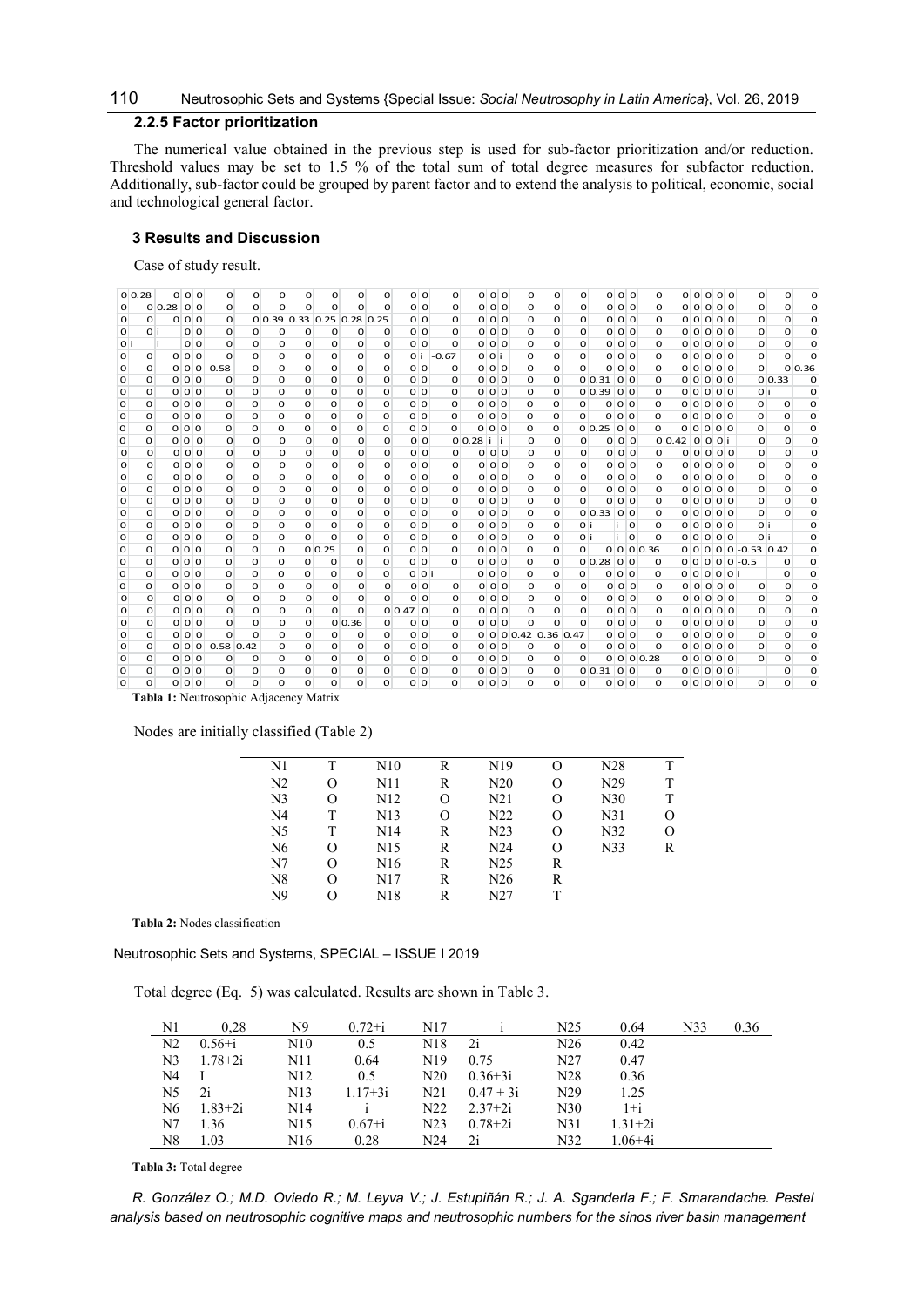# 110 Neutrosophic Sets and Systems {Special Issue: Social Neutrosophy in Latin America}, Vol. 26, 2019

# 2.2.5 Factor prioritization

# 3 Results and Discussion

| 10<br>Neutrosophic Sets and Systems {Special Issue: Social Neutrosophy in Latin America}, Vol. 26, 2019<br>2.2.5 Factor prioritization<br>The numerical value obtained in the previous step is used for sub-factor prioritization and/or reduction.<br>Threshold values may be set to 1.5 % of the total sum of total degree measures for subfactor reduction.<br>Additionally, sub-factor could be grouped by parent factor and to extend the analysis to political, economic, social<br>nd technological general factor.<br><b>3 Results and Discussion</b><br>Case of study result.<br>$0\,0.28$<br>0 <sub>0</sub><br>0 <sub>0</sub><br>$\mathbf{o}$<br>$0$ 0 0<br>0 <sub>0</sub><br>00000<br>$\mathbf{o}$<br>$\mathbf{o}$<br>0<br>o<br>O<br>o<br>O<br>O<br>$\mathbf{o}$<br>o<br>o<br>O<br>0<br>O<br>0 0.28 00<br>0 <sub>0</sub><br>$\mathsf{o}$<br>0 <sub>0</sub><br>0<br>$\mathbf{o}$<br>000<br>00000<br>$\mathbf{o}$<br>o<br>0<br>$\mathbf{o}$<br>0<br>o<br>$\mathbf{o}$<br>0<br>0<br>$\mathbf{O}$<br>$\mathbf{O}$<br>O<br>o<br>o<br>$0$ 0 0<br>$\mathbf{O}$<br>0 0.39 0.33 0.25 0.28 0.25<br>0 <sub>0</sub><br>0 0 0<br>0<br>0<br>0 0 0<br>00000<br>$\mathbf{o}$<br>$\circ$<br>$\mathbf{o}$<br>0<br>$\mathbf{o}$<br>$\mathbf{O}$<br>o<br>0 i<br>0 <sub>0</sub><br>0<br>O<br>o<br>0 <sub>0</sub><br>o<br>0 <sub>0</sub><br>0<br>$\mathbf{o}$<br>000<br>00000<br>0<br>$\Omega$<br>o<br>0<br>o<br>o<br>$\circ$<br>0<br>0 <sub>0</sub><br>$\mathbf{o}$<br>O<br>0<br>o<br>0<br>0<br>0 0<br>o<br>$0$ 0 0<br>$\mathbf{o}$<br>0<br>0 <sub>0</sub><br>0 0 0 0 0<br>O<br>0 i<br>o<br>o<br>$\mathbf{o}$<br>$\mathbf{O}$<br>$\mathbf{O}$<br>0 <sub>0</sub><br>O<br>0<br>0<br>o<br>0<br>0 <sub>i</sub><br>$-0.67$<br>0 0 <br>0<br>0 0 0<br>00000<br>$\mathbf{O}$<br>$\mathbf{O}$<br>0<br>0<br>o<br>0<br>o<br>$\mathbf{o}$<br>$\mathbf{o}$<br>0<br>000<br>000<br>0 0.36<br>$0 \ 0 \ 0 \ -0.58$<br>O<br>O<br>$\Omega$<br>$\mathbf{o}$<br>0 <sub>0</sub><br>0<br>0<br>$\mathbf 0$<br>$\mathbf{o}$<br>00000<br>$\mathbf{O}$<br>$\Omega$<br>o<br>$\mathbf{o}$<br>$\circ$<br>0<br>0 0 0<br>0<br>o<br>0<br>0 0<br>0<br>0 <sub>0</sub><br>0<br>00.3100<br>00000<br>0 0.33<br>$\mathbf{O}$<br>o<br>o<br>o<br>O<br>0<br>$\mathbf{o}$<br>$\mathbf{o}$<br>o<br>$\mathbf 0$<br>0 0 0<br>0 0 0<br>0<br>0<br>0<br>0<br>o<br>o<br>0 0<br>0<br>o<br>0<br>$0\,0.39\,0\,0$<br>O<br>0 0 0 0 0<br>0 i<br>o<br>o<br>o<br>0 0 0<br>$\mathbf{o}$<br>0<br>o<br>$\mathbf{o}$<br>0 <sub>0</sub><br>o<br>0 0 0<br>0 0 0<br>00000<br>$\mathbf{O}$<br>$\overline{0}$<br>O<br>O<br>O<br>O<br>$\mathbf{o}$<br>o<br>O<br>$\mathbf{O}$<br>O<br>o<br>$\mathsf{o}\,$<br>$0$ 0 0<br>$\mathbf{o}$<br>0<br>O<br>o<br>0 <sub>0</sub><br>$0$ 0 0<br>o<br>$\mathbf{o}$<br>0<br>0 0 0<br>00000<br>$\mathbf{o}$<br>O<br>$\mathbf{O}$<br>O<br>O<br>o<br>0<br>0<br>$\mathbf{o}$<br>$\mathbf 0$<br>$\mathbf{o}$<br>0 <sub>0</sub><br>000<br>00.2500<br>00000<br>0 0 0<br>$\mathbf{o}$<br>0<br>O<br>o<br>$\mathbf{O}$<br>$\mathbf{o}$<br>$\mathbf{o}$<br>$\mathbf{O}$<br>O<br>O<br>$\mathbf{O}$<br>o<br>$\circ$<br>0<br>o<br>O<br>0 <sub>0</sub><br>$0 0.28 $ i i<br>$0$ 0 0<br>0<br>O<br>0<br>0<br>0<br>000<br>00.42000<br>$\mathbf{o}$<br>$\mathbf{o}$<br>O<br>O<br>o<br>$\mathbf{o}$<br>$\mathbf{o}$<br>о<br>$\mathbf{o}$<br>O<br>0 <sub>0</sub><br>0<br>O<br>o<br>o<br>0 <sub>0</sub><br>$\mathbf{o}$<br>0 <sub>0</sub><br>0<br>o<br>0<br>0 <sub>0</sub><br>00000<br>$\mathbf{o}$<br>0<br>O<br>$\mathbf{o}$<br>O<br>0<br>o<br>$0$ 0 0<br>0<br>0<br>0<br>0<br>0<br>0<br>0 <sub>0</sub><br>$\mathbf{O}$<br>0 <sub>0</sub><br>0<br>0<br>0 0 0<br>0 0 0 0 0<br>0<br>O<br>$\mathbf{o}$<br>O<br>O<br>$\mathbf{O}$<br>$\mathbf{o}$<br>$\mathbf{O}$<br>$0$ 0 0<br>0 <sub>0</sub><br>0<br>0<br>$\mathbf 0$<br>o<br>0<br>0<br>0 <sub>0</sub><br>$\mathbf{O}$<br>o<br>0<br>0<br>0 0 0<br>0 0 0 0 0<br>$\mathbf{o}$<br>0<br>O<br>$\Omega$<br>0<br>o<br>$\mathbf{o}$<br>$0$ 0 0<br>$0$ 0 0<br>0<br>0 0 0<br>$\mathbf{o}$<br>O<br>O<br>$\Omega$<br>$\circ$<br>0 <sub>0</sub><br>$\mathbf{O}$<br>$\mathbf{o}$<br>0<br>00000<br>$\mathbf{O}$<br>$\Omega$<br>o<br>$\mathbf{o}$<br>0<br>$\mathbf{o}$<br>0<br>O<br>0 0 0<br>$\mathbf{o}$<br>0<br>$\mathbf{o}$<br>o<br>0<br>0 <sub>0</sub><br>0 0 0<br>$\mathbf{o}$<br>0 0 0<br>00000<br>$\mathbf{O}$<br>o<br>$\mathbf{O}$<br>O<br>o<br>$\mathbf{o}$<br>0<br>$\mathbf{o}$<br>$\mathbf{o}$<br>O<br>$\mathbf{o}$<br>$\mathbf 0$<br>$\mathbf{O}$<br>0 0 0<br>0<br>0<br>0<br>$\mathbf 0$<br>o<br>0<br>0 <sub>0</sub><br>0<br>$0$ 0 0<br>o<br>0<br>00.33000<br>0 0 0 0 0<br>0<br>o<br>$\mathbf{O}$<br>o<br>$\mathbf{o}$<br>$\circ$<br>$\Omega$<br>0 0 0<br>$\circ$<br>0<br>O<br>$\Omega$<br>o<br>$\mathbf{o}$<br>0 <sub>0</sub><br>0<br>0 0 0<br>$\mathbf{o}$<br>$\circ$<br>0 i<br>00000<br>0 i<br>$\Omega$<br>$\mathbf{o}$<br>O<br>Ω<br>Ιi.<br>$\circ$<br>0 <sub>0</sub><br>0<br>O<br>o<br>0<br>0 <sub>0</sub><br>0 0 0<br>0<br>$\circ$<br>0 i<br>0 0 0 0 0<br>0 i<br>O<br>$\mathbf{O}$<br>O<br>$\mathbf{o}$<br>$\mathbf{o}$<br>o<br>0<br>Ιi.<br>o<br>$\mathsf{o}\,$<br>0 <sub>0</sub><br>$0 \ 0 \ 0 \ 0.36$<br>$0$ 0 0 0 0 -0.53 0.42<br>0 0 0<br>0<br>0<br>O<br>$0\,0.25$<br>$\mathbf{O}$<br>0 <sub>0</sub><br>0<br>$\mathbf{o}$<br>$\mathbf{O}$<br>O<br>O<br>$\mathbf{o}$<br>0<br>$\mathbf{o}$<br>0 0 0<br>$\mathbf{o}$<br>0<br>O<br>o<br>0 <sub>0</sub><br>0<br>0 <sub>0</sub><br>00.2800<br>O<br>o<br>O<br>o<br>$\mathbf{o}$<br>0<br>$\circ$<br>o<br>$0 0 0 0 0 -0.5$<br>0<br>0 0 0<br>$\mathsf{o}\,$<br>O<br>o<br>0<br>O<br>o<br>o<br>0 0 <br>000<br>o<br>0<br>o<br>0 0 0<br>O<br>00000<br>0<br>$\mathbf 0$<br>$\mathbf{o}$<br>O<br>$\mathbf{o}$<br>0 <sub>0</sub><br>$\mathbf{o}$<br>00000<br>0<br>$\circ$<br>0 0 0<br>$\mathbf{o}$<br>0<br>0<br>$\mathbf{o}$<br>0<br>$\mathbf{o}$<br>$\mathbf{o}$<br>0 <sub>0</sub><br>0<br>0<br>0 <sub>0</sub><br>$\mathbf{o}$<br>$\mathbf{o}$<br>$\mathbf{O}$<br>$\Omega$<br>0 <sub>0</sub><br><sub>n</sub><br>$\Omega$<br><sub>n</sub><br>$\Omega$<br>0 <sub>0</sub><br>$\circ$<br>0 <sub>0</sub><br><sub>n</sub><br>$\mathbf{o}$<br>0 0 0<br>00000<br>$\circ$<br>$\mathbf{o}$<br>$\Omega$<br>$\Omega$<br>$\Omega$<br>$\Omega$<br>$\Omega$<br><sup>n</sup><br>$\Omega$<br>O |                                                        |                             |                              |                                |              |              |               |                |              |  |              |              |  |
|----------------------------------------------------------------------------------------------------------------------------------------------------------------------------------------------------------------------------------------------------------------------------------------------------------------------------------------------------------------------------------------------------------------------------------------------------------------------------------------------------------------------------------------------------------------------------------------------------------------------------------------------------------------------------------------------------------------------------------------------------------------------------------------------------------------------------------------------------------------------------------------------------------------------------------------------------------------------------------------------------------------------------------------------------------------------------------------------------------------------------------------------------------------------------------------------------------------------------------------------------------------------------------------------------------------------------------------------------------------------------------------------------------------------------------------------------------------------------------------------------------------------------------------------------------------------------------------------------------------------------------------------------------------------------------------------------------------------------------------------------------------------------------------------------------------------------------------------------------------------------------------------------------------------------------------------------------------------------------------------------------------------------------------------------------------------------------------------------------------------------------------------------------------------------------------------------------------------------------------------------------------------------------------------------------------------------------------------------------------------------------------------------------------------------------------------------------------------------------------------------------------------------------------------------------------------------------------------------------------------------------------------------------------------------------------------------------------------------------------------------------------------------------------------------------------------------------------------------------------------------------------------------------------------------------------------------------------------------------------------------------------------------------------------------------------------------------------------------------------------------------------------------------------------------------------------------------------------------------------------------------------------------------------------------------------------------------------------------------------------------------------------------------------------------------------------------------------------------------------------------------------------------------------------------------------------------------------------------------------------------------------------------------------------------------------------------------------------------------------------------------------------------------------------------------------------------------------------------------------------------------------------------------------------------------------------------------------------------------------------------------------------------------------------------------------------------------------------------------------------------------------------------------------------------------------------------------------------------------------------------------------------------------------------------------------------------------------------------------------------------------------------------------------------------------------------------------------------------------------------------------------------------------------------------------------------------------------------------------------------------------------------------------------------------------------------------------------------------------------------------------------------------------------------------------------------------------------------------------------------------------------------------------------------------------------------------------------------------------------------------------------------------------------------------------------------------------------------------------------------------------------------------------------------------------------------------------------------------------------------------------------------------------------------------------------------------------------------------------------------------------------------------------------------------------------------------------------------------------------------------------------------------------------------------------------------------------------------------------------------------------------------------------------------------------------------------------------------------------------------------------------------------------------------------------------------------------------------------------------------------------------------------------------------------------------------------------------------------------------------------------------------------------------------------------------------------------------------------------------------------------------------------------------------------------------------|--------------------------------------------------------|-----------------------------|------------------------------|--------------------------------|--------------|--------------|---------------|----------------|--------------|--|--------------|--------------|--|
|                                                                                                                                                                                                                                                                                                                                                                                                                                                                                                                                                                                                                                                                                                                                                                                                                                                                                                                                                                                                                                                                                                                                                                                                                                                                                                                                                                                                                                                                                                                                                                                                                                                                                                                                                                                                                                                                                                                                                                                                                                                                                                                                                                                                                                                                                                                                                                                                                                                                                                                                                                                                                                                                                                                                                                                                                                                                                                                                                                                                                                                                                                                                                                                                                                                                                                                                                                                                                                                                                                                                                                                                                                                                                                                                                                                                                                                                                                                                                                                                                                                                                                                                                                                                                                                                                                                                                                                                                                                                                                                                                                                                                                                                                                                                                                                                                                                                                                                                                                                                                                                                                                                                                                                                                                                                                                                                                                                                                                                                                                                                                                                                                                                                                                                                                                                                                                                                                                                                                                                                                                                                                                                                                                                              |                                                        |                             |                              |                                |              |              |               |                |              |  |              |              |  |
|                                                                                                                                                                                                                                                                                                                                                                                                                                                                                                                                                                                                                                                                                                                                                                                                                                                                                                                                                                                                                                                                                                                                                                                                                                                                                                                                                                                                                                                                                                                                                                                                                                                                                                                                                                                                                                                                                                                                                                                                                                                                                                                                                                                                                                                                                                                                                                                                                                                                                                                                                                                                                                                                                                                                                                                                                                                                                                                                                                                                                                                                                                                                                                                                                                                                                                                                                                                                                                                                                                                                                                                                                                                                                                                                                                                                                                                                                                                                                                                                                                                                                                                                                                                                                                                                                                                                                                                                                                                                                                                                                                                                                                                                                                                                                                                                                                                                                                                                                                                                                                                                                                                                                                                                                                                                                                                                                                                                                                                                                                                                                                                                                                                                                                                                                                                                                                                                                                                                                                                                                                                                                                                                                                                              |                                                        |                             |                              |                                |              |              |               |                |              |  |              |              |  |
|                                                                                                                                                                                                                                                                                                                                                                                                                                                                                                                                                                                                                                                                                                                                                                                                                                                                                                                                                                                                                                                                                                                                                                                                                                                                                                                                                                                                                                                                                                                                                                                                                                                                                                                                                                                                                                                                                                                                                                                                                                                                                                                                                                                                                                                                                                                                                                                                                                                                                                                                                                                                                                                                                                                                                                                                                                                                                                                                                                                                                                                                                                                                                                                                                                                                                                                                                                                                                                                                                                                                                                                                                                                                                                                                                                                                                                                                                                                                                                                                                                                                                                                                                                                                                                                                                                                                                                                                                                                                                                                                                                                                                                                                                                                                                                                                                                                                                                                                                                                                                                                                                                                                                                                                                                                                                                                                                                                                                                                                                                                                                                                                                                                                                                                                                                                                                                                                                                                                                                                                                                                                                                                                                                                              |                                                        |                             |                              |                                |              |              |               |                |              |  |              |              |  |
|                                                                                                                                                                                                                                                                                                                                                                                                                                                                                                                                                                                                                                                                                                                                                                                                                                                                                                                                                                                                                                                                                                                                                                                                                                                                                                                                                                                                                                                                                                                                                                                                                                                                                                                                                                                                                                                                                                                                                                                                                                                                                                                                                                                                                                                                                                                                                                                                                                                                                                                                                                                                                                                                                                                                                                                                                                                                                                                                                                                                                                                                                                                                                                                                                                                                                                                                                                                                                                                                                                                                                                                                                                                                                                                                                                                                                                                                                                                                                                                                                                                                                                                                                                                                                                                                                                                                                                                                                                                                                                                                                                                                                                                                                                                                                                                                                                                                                                                                                                                                                                                                                                                                                                                                                                                                                                                                                                                                                                                                                                                                                                                                                                                                                                                                                                                                                                                                                                                                                                                                                                                                                                                                                                                              |                                                        |                             |                              |                                |              |              |               |                |              |  |              |              |  |
|                                                                                                                                                                                                                                                                                                                                                                                                                                                                                                                                                                                                                                                                                                                                                                                                                                                                                                                                                                                                                                                                                                                                                                                                                                                                                                                                                                                                                                                                                                                                                                                                                                                                                                                                                                                                                                                                                                                                                                                                                                                                                                                                                                                                                                                                                                                                                                                                                                                                                                                                                                                                                                                                                                                                                                                                                                                                                                                                                                                                                                                                                                                                                                                                                                                                                                                                                                                                                                                                                                                                                                                                                                                                                                                                                                                                                                                                                                                                                                                                                                                                                                                                                                                                                                                                                                                                                                                                                                                                                                                                                                                                                                                                                                                                                                                                                                                                                                                                                                                                                                                                                                                                                                                                                                                                                                                                                                                                                                                                                                                                                                                                                                                                                                                                                                                                                                                                                                                                                                                                                                                                                                                                                                                              |                                                        |                             |                              |                                |              |              |               |                |              |  |              |              |  |
|                                                                                                                                                                                                                                                                                                                                                                                                                                                                                                                                                                                                                                                                                                                                                                                                                                                                                                                                                                                                                                                                                                                                                                                                                                                                                                                                                                                                                                                                                                                                                                                                                                                                                                                                                                                                                                                                                                                                                                                                                                                                                                                                                                                                                                                                                                                                                                                                                                                                                                                                                                                                                                                                                                                                                                                                                                                                                                                                                                                                                                                                                                                                                                                                                                                                                                                                                                                                                                                                                                                                                                                                                                                                                                                                                                                                                                                                                                                                                                                                                                                                                                                                                                                                                                                                                                                                                                                                                                                                                                                                                                                                                                                                                                                                                                                                                                                                                                                                                                                                                                                                                                                                                                                                                                                                                                                                                                                                                                                                                                                                                                                                                                                                                                                                                                                                                                                                                                                                                                                                                                                                                                                                                                                              |                                                        |                             |                              |                                |              |              |               |                |              |  |              |              |  |
|                                                                                                                                                                                                                                                                                                                                                                                                                                                                                                                                                                                                                                                                                                                                                                                                                                                                                                                                                                                                                                                                                                                                                                                                                                                                                                                                                                                                                                                                                                                                                                                                                                                                                                                                                                                                                                                                                                                                                                                                                                                                                                                                                                                                                                                                                                                                                                                                                                                                                                                                                                                                                                                                                                                                                                                                                                                                                                                                                                                                                                                                                                                                                                                                                                                                                                                                                                                                                                                                                                                                                                                                                                                                                                                                                                                                                                                                                                                                                                                                                                                                                                                                                                                                                                                                                                                                                                                                                                                                                                                                                                                                                                                                                                                                                                                                                                                                                                                                                                                                                                                                                                                                                                                                                                                                                                                                                                                                                                                                                                                                                                                                                                                                                                                                                                                                                                                                                                                                                                                                                                                                                                                                                                                              |                                                        |                             |                              |                                |              |              |               |                |              |  |              |              |  |
| 0,0.47,0<br>00000<br>$\mathbf{O}$<br>$\mathbf 0$<br>0<br>$0$ 0 0<br>0<br>o<br>0<br>0<br>0 <sub>0</sub><br>0<br>000<br>0<br>$\mathbf{O}$<br>o<br>0<br>O<br>0<br>o                                                                                                                                                                                                                                                                                                                                                                                                                                                                                                                                                                                                                                                                                                                                                                                                                                                                                                                                                                                                                                                                                                                                                                                                                                                                                                                                                                                                                                                                                                                                                                                                                                                                                                                                                                                                                                                                                                                                                                                                                                                                                                                                                                                                                                                                                                                                                                                                                                                                                                                                                                                                                                                                                                                                                                                                                                                                                                                                                                                                                                                                                                                                                                                                                                                                                                                                                                                                                                                                                                                                                                                                                                                                                                                                                                                                                                                                                                                                                                                                                                                                                                                                                                                                                                                                                                                                                                                                                                                                                                                                                                                                                                                                                                                                                                                                                                                                                                                                                                                                                                                                                                                                                                                                                                                                                                                                                                                                                                                                                                                                                                                                                                                                                                                                                                                                                                                                                                                                                                                                                             |                                                        |                             |                              |                                |              |              |               |                |              |  |              |              |  |
| $\mathbf 0$<br>0 <sub>0</sub><br>$\circ$<br>00000<br>$\mathbf{O}$                                                                                                                                                                                                                                                                                                                                                                                                                                                                                                                                                                                                                                                                                                                                                                                                                                                                                                                                                                                                                                                                                                                                                                                                                                                                                                                                                                                                                                                                                                                                                                                                                                                                                                                                                                                                                                                                                                                                                                                                                                                                                                                                                                                                                                                                                                                                                                                                                                                                                                                                                                                                                                                                                                                                                                                                                                                                                                                                                                                                                                                                                                                                                                                                                                                                                                                                                                                                                                                                                                                                                                                                                                                                                                                                                                                                                                                                                                                                                                                                                                                                                                                                                                                                                                                                                                                                                                                                                                                                                                                                                                                                                                                                                                                                                                                                                                                                                                                                                                                                                                                                                                                                                                                                                                                                                                                                                                                                                                                                                                                                                                                                                                                                                                                                                                                                                                                                                                                                                                                                                                                                                                                            | $0$ 0 0<br>$\mathbf 0$<br>$\mathbf{O}$<br>$\mathbf{O}$ | $\mathbf 0$<br>$\mathbf{o}$ | $\mathbf{O}$<br>$\mathbf{O}$ | 0 <sub>0</sub><br>$\mathbf{O}$ | $\mathbf{O}$ | $\mathbf{O}$ | 0             | 0 <sub>0</sub> | $\mathbf{o}$ |  | $\mathbf{O}$ | $\mathbf{o}$ |  |
| Tabla 1: Neutrosophic Adjacency Matrix<br>Nodes are initially classified (Table 2)                                                                                                                                                                                                                                                                                                                                                                                                                                                                                                                                                                                                                                                                                                                                                                                                                                                                                                                                                                                                                                                                                                                                                                                                                                                                                                                                                                                                                                                                                                                                                                                                                                                                                                                                                                                                                                                                                                                                                                                                                                                                                                                                                                                                                                                                                                                                                                                                                                                                                                                                                                                                                                                                                                                                                                                                                                                                                                                                                                                                                                                                                                                                                                                                                                                                                                                                                                                                                                                                                                                                                                                                                                                                                                                                                                                                                                                                                                                                                                                                                                                                                                                                                                                                                                                                                                                                                                                                                                                                                                                                                                                                                                                                                                                                                                                                                                                                                                                                                                                                                                                                                                                                                                                                                                                                                                                                                                                                                                                                                                                                                                                                                                                                                                                                                                                                                                                                                                                                                                                                                                                                                                           |                                                        |                             |                              |                                |              |              |               |                |              |  |              |              |  |
|                                                                                                                                                                                                                                                                                                                                                                                                                                                                                                                                                                                                                                                                                                                                                                                                                                                                                                                                                                                                                                                                                                                                                                                                                                                                                                                                                                                                                                                                                                                                                                                                                                                                                                                                                                                                                                                                                                                                                                                                                                                                                                                                                                                                                                                                                                                                                                                                                                                                                                                                                                                                                                                                                                                                                                                                                                                                                                                                                                                                                                                                                                                                                                                                                                                                                                                                                                                                                                                                                                                                                                                                                                                                                                                                                                                                                                                                                                                                                                                                                                                                                                                                                                                                                                                                                                                                                                                                                                                                                                                                                                                                                                                                                                                                                                                                                                                                                                                                                                                                                                                                                                                                                                                                                                                                                                                                                                                                                                                                                                                                                                                                                                                                                                                                                                                                                                                                                                                                                                                                                                                                                                                                                                                              |                                                        | N2                          | $\mathbf{O}$                 | N11                            | $\mathbb{R}$ |              | $\mathcal{O}$ | N29            |              |  |              |              |  |
| $\mathbf T$<br>N10<br>$\mathbf R$<br>N19<br>N28<br>T<br>$\mathbf{O}$<br>N <sub>1</sub><br>$\overline{T}$<br>N20                                                                                                                                                                                                                                                                                                                                                                                                                                                                                                                                                                                                                                                                                                                                                                                                                                                                                                                                                                                                                                                                                                                                                                                                                                                                                                                                                                                                                                                                                                                                                                                                                                                                                                                                                                                                                                                                                                                                                                                                                                                                                                                                                                                                                                                                                                                                                                                                                                                                                                                                                                                                                                                                                                                                                                                                                                                                                                                                                                                                                                                                                                                                                                                                                                                                                                                                                                                                                                                                                                                                                                                                                                                                                                                                                                                                                                                                                                                                                                                                                                                                                                                                                                                                                                                                                                                                                                                                                                                                                                                                                                                                                                                                                                                                                                                                                                                                                                                                                                                                                                                                                                                                                                                                                                                                                                                                                                                                                                                                                                                                                                                                                                                                                                                                                                                                                                                                                                                                                                                                                                                                              |                                                        |                             |                              |                                |              |              |               | $\sqrt{2}$     |              |  |              |              |  |

#### Nodes are initially classified (Table 2)

| N1             | т | N10              | R        | N <sub>19</sub> | O | N28 | т |
|----------------|---|------------------|----------|-----------------|---|-----|---|
| N2             | O | N11              | R        | N20             | O | N29 | T |
| N <sub>3</sub> | O | N <sub>12</sub>  | Ω        | N <sub>21</sub> | O | N30 | T |
| N4             | T | N <sub>1</sub> 3 | $\Omega$ | N <sub>22</sub> | O | N31 | O |
| N5             | т | N14              | R        | N23             | O | N32 | O |
| N6             | O | N <sub>15</sub>  | R        | N24             | O | N33 | R |
| N7             | O | N <sub>16</sub>  | R        | N <sub>25</sub> | R |     |   |
| N8             | O | N <sub>17</sub>  | R        | N <sub>26</sub> | R |     |   |
| N9             | O | N18              | R        | N27             | т |     |   |
|                |   |                  |          |                 |   |     |   |

Tabla 2: Nodes classification

Neutrosophic Sets and Systems, SPECIAL – ISSUE I 2019

Total degree (Eq. 5) was calculated. Results are shown in Table 3.

| N1             | 0.28        | N <sub>9</sub>   | $0.72 + i$  | N17              |             | N <sub>25</sub> | 0.64        | N33 | 0.36 |
|----------------|-------------|------------------|-------------|------------------|-------------|-----------------|-------------|-----|------|
| N <sub>2</sub> | $0.56 + i$  | N10              | 0.5         | N <sub>18</sub>  | 2i          | N <sub>26</sub> | 0.42        |     |      |
| N <sub>3</sub> | $1.78 + 2i$ | N11              | 0.64        | N <sub>19</sub>  | 0.75        | N <sub>27</sub> | 0.47        |     |      |
| N4             |             | N <sub>12</sub>  | 0.5         | N <sub>20</sub>  | $0.36 + 3i$ | N <sub>28</sub> | 0.36        |     |      |
| N5             | 2i          | N <sub>1</sub> 3 | $1.17 + 3i$ | N <sub>2</sub> 1 | $0.47 + 3i$ | N <sub>29</sub> | 1.25        |     |      |
| N6             | $1.83 + 2i$ | N <sub>14</sub>  |             | N <sub>22</sub>  | $2.37 + 2i$ | N30             | $1+i$       |     |      |
| N7             | 1.36        | N15              | $0.67 + i$  | N <sub>23</sub>  | $0.78 + 2i$ | N31             | $1.31 + 2i$ |     |      |
| N8             | 1.03        | N <sub>16</sub>  | 0.28        | N24              | 2i          | N32             | $1.06 + 4i$ |     |      |

Tabla 3: Total degree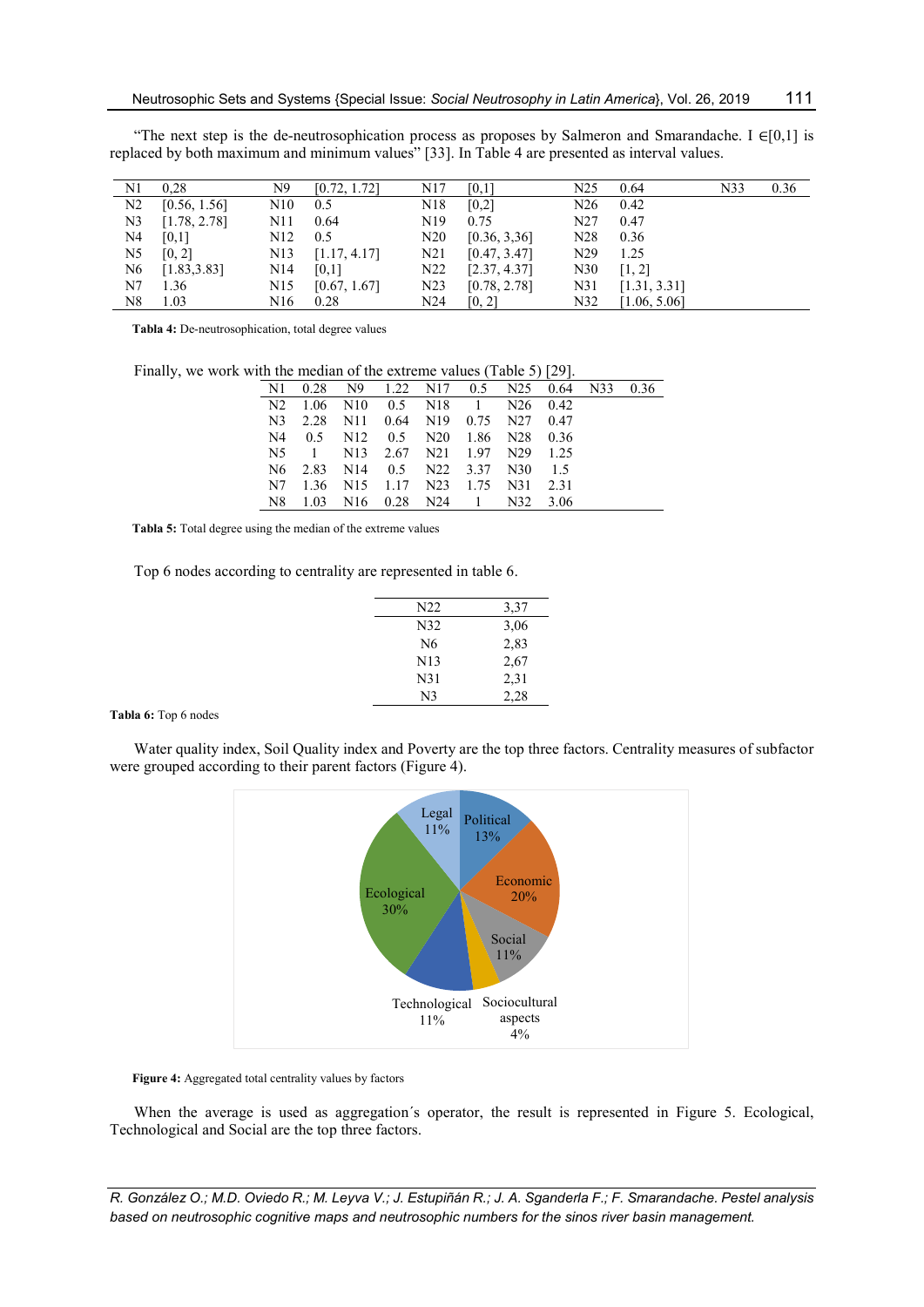| N1             | 0.28         | N9               | [0.72, 1.72] | N <sub>17</sub> | [0,1]        | N <sub>25</sub> | 0.64         | N33 | 0.36 |
|----------------|--------------|------------------|--------------|-----------------|--------------|-----------------|--------------|-----|------|
| N2             | [0.56, 1.56] | N10              | 0.5          | N <sub>18</sub> | [0,2]        | N26             | 0.42         |     |      |
| N <sub>3</sub> | [1.78, 2.78] | N11              | 0.64         | N <sub>19</sub> | 0.75         | N <sub>27</sub> | 0.47         |     |      |
| N4             | [0,1]        | N <sub>12</sub>  | 0.5          | N20             | [0.36, 3.36] | N <sub>28</sub> | 0.36         |     |      |
| N5             | [0, 2]       | N <sub>1</sub> 3 | [1.17, 4.17] | N <sub>21</sub> | [0.47, 3.47] | N <sub>29</sub> | 1.25         |     |      |
| N6             | [1.83, 3.83] | N <sub>14</sub>  | [0,1]        | N <sub>22</sub> | [2.37, 4.37] | N30             | [1, 2]       |     |      |
| N7             | 1.36         | N15              | [0.67, 1.67] | N <sub>23</sub> | [0.78, 2.78] | N31             | [1.31, 3.31] |     |      |
| N8             | 1.03         | N <sub>16</sub>  | 0.28         | N <sub>24</sub> | [0, 2]       | N32             | [1.06, 5.06] |     |      |

"The next step is the de-neutrosophication process as proposes by Salmeron and Smarandache. I  $\in [0,1]$  is replaced by both maximum and minimum values" [33]. In Table 4 are presented as interval values.

Tabla 4: De-neutrosophication, total degree values

Finally, we work with the median of the extreme values (Table 5) [29].

|  | N1 0.28 N9 1.22 N17 0.5 N25 0.64 N33 0.36                                        |  |  |  |  |
|--|----------------------------------------------------------------------------------|--|--|--|--|
|  | N2 1.06 N10 0.5 N18 1 N26 0.42                                                   |  |  |  |  |
|  | N3 2.28 N11 0.64 N19 0.75 N27 0.47                                               |  |  |  |  |
|  | N4 0.5 N12 0.5 N20 1.86 N28 0.36                                                 |  |  |  |  |
|  | N5 1 N13 2.67 N21 1.97 N29 1.25                                                  |  |  |  |  |
|  | N <sub>6</sub> 2.83 N <sub>14</sub> 0.5 N <sub>22</sub> 3.37 N <sub>30</sub> 1.5 |  |  |  |  |
|  | N7 1.36 N15 1.17 N23 1.75 N31 2.31                                               |  |  |  |  |
|  | N8 1.03 N16 0.28 N24 1 N32 3.06                                                  |  |  |  |  |

Tabla 5: Total degree using the median of the extreme values

Top 6 nodes according to centrality are represented in table 6.

| N22             | 3,37 |
|-----------------|------|
| N32             | 3,06 |
| N <sub>6</sub>  | 2,83 |
| N13             | 2,67 |
| N <sub>31</sub> | 2,31 |
| N <sub>3</sub>  | 2,28 |
|                 |      |

Tabla 6: Top 6 nodes

Water quality index, Soil Quality index and Poverty are the top three factors. Centrality measures of subfactor were grouped according to their parent factors (Figure 4).



Figure 4: Aggregated total centrality values by factors

When the average is used as aggregation´s operator, the result is represented in Figure 5. Ecological, Technological and Social are the top three factors.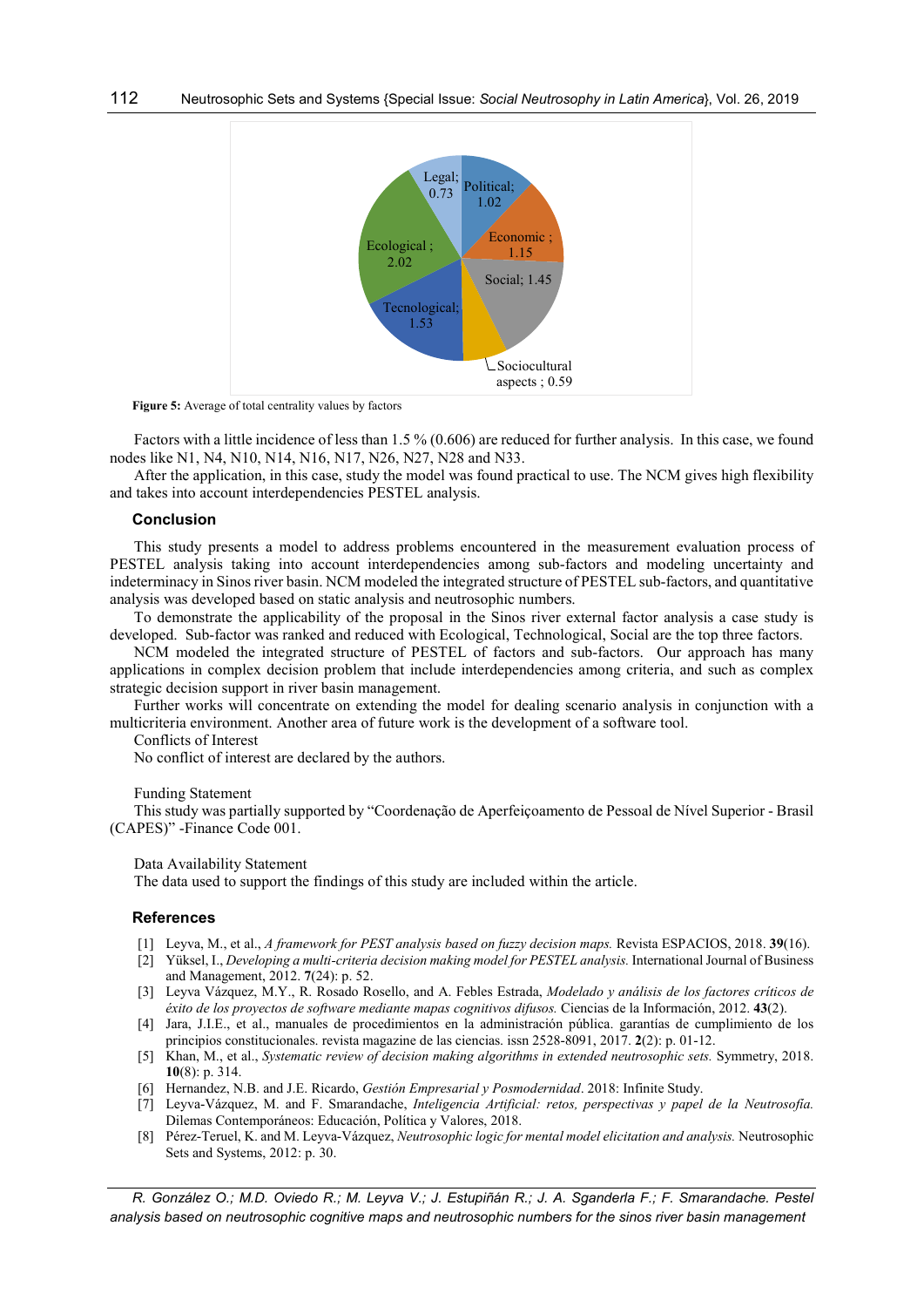

Figure 5: Average of total centrality values by factors

Factors with a little incidence of less than 1.5 % (0.606) are reduced for further analysis. In this case, we found nodes like N1, N4, N10, N14, N16, N17, N26, N27, N28 and N33.

After the application, in this case, study the model was found practical to use. The NCM gives high flexibility and takes into account interdependencies PESTEL analysis.

#### Conclusion

This study presents a model to address problems encountered in the measurement evaluation process of PESTEL analysis taking into account interdependencies among sub-factors and modeling uncertainty and indeterminacy in Sinos river basin. NCM modeled the integrated structure of PESTEL sub-factors, and quantitative analysis was developed based on static analysis and neutrosophic numbers.

To demonstrate the applicability of the proposal in the Sinos river external factor analysis a case study is developed. Sub-factor was ranked and reduced with Ecological, Technological, Social are the top three factors.

NCM modeled the integrated structure of PESTEL of factors and sub-factors. Our approach has many applications in complex decision problem that include interdependencies among criteria, and such as complex strategic decision support in river basin management.

Further works will concentrate on extending the model for dealing scenario analysis in conjunction with a multicriteria environment. Another area of future work is the development of a software tool.

Conflicts of Interest

No conflict of interest are declared by the authors.

#### Funding Statement

This study was partially supported by "Coordenação de Aperfeiçoamento de Pessoal de Nível Superior - Brasil (CAPES)" -Finance Code 001.

Data Availability Statement

The data used to support the findings of this study are included within the article.

#### References

- [1] Leyva, M., et al., A framework for PEST analysis based on fuzzy decision maps. Revista ESPACIOS, 2018. 39(16).
- [2] Yüksel, I., Developing a multi-criteria decision making model for PESTEL analysis. International Journal of Business and Management, 2012. 7(24): p. 52.
- [3] Leyva Vázquez, M.Y., R. Rosado Rosello, and A. Febles Estrada, Modelado y análisis de los factores críticos de éxito de los proyectos de software mediante mapas cognitivos difusos. Ciencias de la Información, 2012. 43(2).
- [4] Jara, J.I.E., et al., manuales de procedimientos en la administración pública. garantías de cumplimiento de los principios constitucionales. revista magazine de las ciencias. issn 2528-8091, 2017. 2(2): p. 01-12.
- [5] Khan, M., et al., Systematic review of decision making algorithms in extended neutrosophic sets. Symmetry, 2018. 10(8): p. 314.
- [6] Hernandez, N.B. and J.E. Ricardo, Gestión Empresarial y Posmodernidad. 2018: Infinite Study.
- [7] Leyva-Vázquez, M. and F. Smarandache, Inteligencia Artificial: retos, perspectivas y papel de la Neutrosofía. Dilemas Contemporáneos: Educación, Política y Valores, 2018.
- [8] Pérez-Teruel, K. and M. Leyva-Vázquez, Neutrosophic logic for mental model elicitation and analysis. Neutrosophic Sets and Systems, 2012: p. 30.